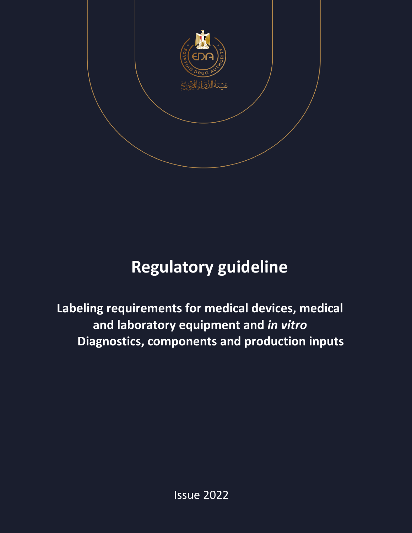

# **Regulatory guideline**

**Labeling requirements for medical devices, medical and laboratory equipment and** *in vitro* **Diagnostics, components and production inputs**

Issue 2022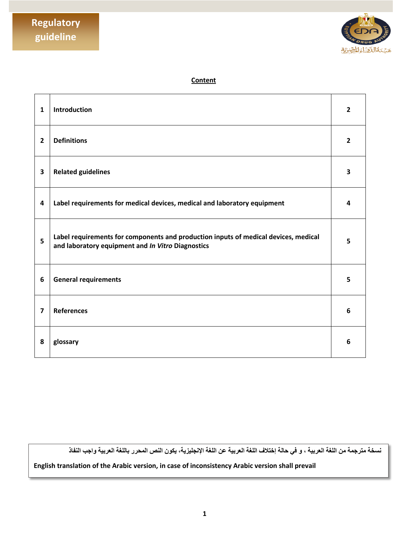

## **Content**

| $\mathbf{1}$   | Introduction                                                                                                                             | $\overline{2}$ |
|----------------|------------------------------------------------------------------------------------------------------------------------------------------|----------------|
| $\overline{2}$ | <b>Definitions</b>                                                                                                                       | $\overline{2}$ |
| 3              | <b>Related guidelines</b>                                                                                                                | 3              |
| 4              | Label requirements for medical devices, medical and laboratory equipment                                                                 | 4              |
| 5              | Label requirements for components and production inputs of medical devices, medical<br>and laboratory equipment and In Vitro Diagnostics | 5              |
| 6              | <b>General requirements</b>                                                                                                              | 5              |
| $\overline{7}$ | <b>References</b>                                                                                                                        | 6              |
| 8              | glossary                                                                                                                                 | 6              |

**نسخة مترجمة من اللغة العربية ، و في حالة إختالف اللغة العربية عن اللغة اإلنجليزية، يكون النص المحرر باللغة العربية واجب النفاذ**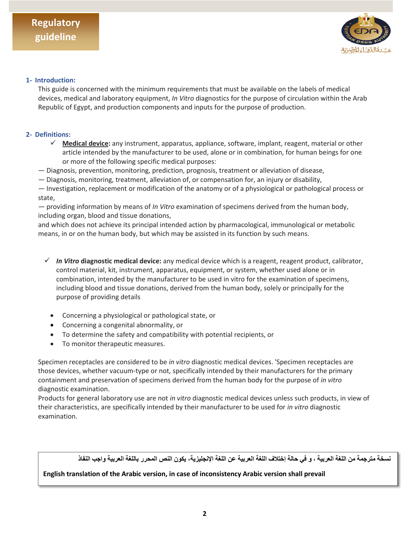

#### **1- Introduction:**

This guide is concerned with the minimum requirements that must be available on the labels of medical devices, medical and laboratory equipment, *In Vitro* diagnostics for the purpose of circulation within the Arab Republic of Egypt, and production components and inputs for the purpose of production.

## **2- Definitions:**

- **Medical device:** any instrument, apparatus, appliance, software, implant, reagent, material or other article intended by the manufacturer to be used, alone or in combination, for human beings for one or more of the following specific medical purposes:
- Diagnosis, prevention, monitoring, prediction, prognosis, treatment or alleviation of disease,
- Diagnosis, monitoring, treatment, alleviation of, or compensation for, an injury or disability,

— Investigation, replacement or modification of the anatomy or of a physiological or pathological process or state,

— providing information by means of *In Vitro* examination of specimens derived from the human body, including organ, blood and tissue donations,

and which does not achieve its principal intended action by pharmacological, immunological or metabolic means, in or on the human body, but which may be assisted in its function by such means.

- *In Vitro* **diagnostic medical device:** any medical device which is a reagent, reagent product, calibrator, control material, kit, instrument, apparatus, equipment, or system, whether used alone or in combination, intended by the manufacturer to be used in vitro for the examination of specimens, including blood and tissue donations, derived from the human body, solely or principally for the purpose of providing details
	- Concerning a physiological or pathological state, or
	- Concerning a congenital abnormality, or
	- To determine the safety and compatibility with potential recipients, or
	- To monitor therapeutic measures.

Specimen receptacles are considered to be *in vitro* diagnostic medical devices. 'Specimen receptacles are those devices, whether vacuum-type or not, specifically intended by their manufacturers for the primary containment and preservation of specimens derived from the human body for the purpose of *in vitro* diagnostic examination.

Products for general laboratory use are not *in vitro* diagnostic medical devices unless such products, in view of their characteristics, are specifically intended by their manufacturer to be used for *in vitro* diagnostic examination.

**نسخة مترجمة من اللغة العربية ، و في حالة إختالف اللغة العربية عن اللغة اإلنجليزية، يكون النص المحرر باللغة العربية واجب النفاذ**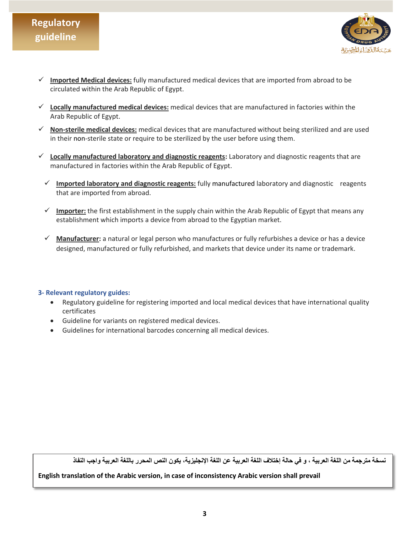

- **Imported Medical devices:** fully manufactured medical devices that are imported from abroad to be circulated within the Arab Republic of Egypt.
- **Locally manufactured medical devices:** medical devices that are manufactured in factories within the Arab Republic of Egypt.
- **Non-sterile medical devices:** medical devices that are manufactured without being sterilized and are used in their non-sterile state or require to be sterilized by the user before using them.
- **Locally manufactured laboratory and diagnostic reagents:** Laboratory and diagnostic reagents that are manufactured in factories within the Arab Republic of Egypt.
	- **Imported laboratory and diagnostic reagents:** fully manufactured laboratory and diagnostic reagents that are imported from abroad.
	- $\checkmark$  Importer: the first establishment in the supply chain within the Arab Republic of Egypt that means any establishment which imports a device from abroad to the Egyptian market.
	- **Manufacturer:** a natural or legal person who manufactures or fully refurbishes a device or has a device designed, manufactured or fully refurbished, and markets that device under its name or trademark.

## **3- Relevant regulatory guides:**

- Regulatory guideline for registering imported and local medical devices that have international quality certificates
- Guideline for variants on registered medical devices.
- Guidelines for international barcodes concerning all medical devices.

**نسخة مترجمة من اللغة العربية ، و في حالة إختالف اللغة العربية عن اللغة اإلنجليزية، يكون النص المحرر باللغة العربية واجب النفاذ**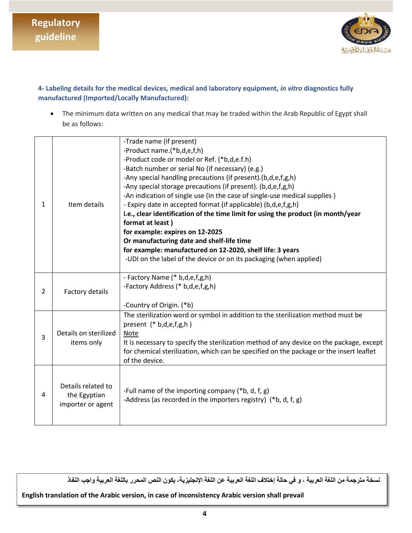

## **4- Labeling details for the medical devices, medical and laboratory equipment,** *in vitro* **diagnostics fully manufactured (Imported/Locally Manufactured):**

 The minimum data written on any medical that may be traded within the Arab Republic of Egypt shall be as follows:

| 1              | Item details                                            | -Trade name (if present)<br>-Product name.(*b,d,e,f,h)<br>-Product code or model or Ref. (*b,d,e.f.h)<br>-Batch number or serial No (if necessary) (e.g.)<br>-Any special handling precautions (if present).(b,d,e,f,g,h)<br>-Any special storage precautions (if present). (b,d,e,f,g,h)<br>-An indication of single use (In the case of single-use medical supplies)<br>- Expiry date in accepted format (if applicable) (b,d,e,f,g,h)<br>i.e., clear identification of the time limit for using the product (in month/year<br>format at least)<br>for example: expires on 12-2025<br>Or manufacturing date and shelf-life time<br>for example: manufactured on 12-2020, shelf life: 3 years<br>-UDI on the label of the device or on its packaging (when applied) |
|----------------|---------------------------------------------------------|----------------------------------------------------------------------------------------------------------------------------------------------------------------------------------------------------------------------------------------------------------------------------------------------------------------------------------------------------------------------------------------------------------------------------------------------------------------------------------------------------------------------------------------------------------------------------------------------------------------------------------------------------------------------------------------------------------------------------------------------------------------------|
| $\overline{2}$ | Factory details                                         | - Factory Name (* b,d,e,f,g,h)<br>-Factory Address (* b,d,e,f,g,h)<br>-Country of Origin. (*b)                                                                                                                                                                                                                                                                                                                                                                                                                                                                                                                                                                                                                                                                       |
| 3              | Details on sterilized<br>items only                     | The sterilization word or symbol in addition to the sterilization method must be<br>present (* b,d,e,f,g,h)<br>Note<br>It is necessary to specify the sterilization method of any device on the package, except<br>for chemical sterilization, which can be specified on the package or the insert leaflet<br>of the device.                                                                                                                                                                                                                                                                                                                                                                                                                                         |
| 4              | Details related to<br>the Egyptian<br>importer or agent | -Full name of the importing company (*b, d, f, g)<br>-Address (as recorded in the importers registry) (*b, d, f, g)                                                                                                                                                                                                                                                                                                                                                                                                                                                                                                                                                                                                                                                  |

**نسخة مترجمة من اللغة العربية ، و في حالة إختالف اللغة العربية عن اللغة اإلنجليزية، يكون النص المحرر باللغة العربية واجب النفاذ**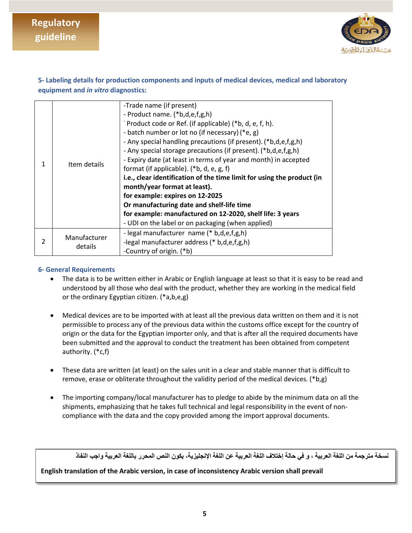

## **5- Labeling details for production components and inputs of medical devices, medical and laboratory equipment and** *in vitro* **diagnostics:**

|   | Item details            | -Trade name (if present)                                               |
|---|-------------------------|------------------------------------------------------------------------|
|   |                         | - Product name. (*b,d,e,f,g,h)                                         |
|   |                         | Product code or Ref. (if applicable) (*b, d, e, f, h).                 |
|   |                         | - batch number or lot no (if necessary) (*e, g)                        |
|   |                         | - Any special handling precautions (if present). (*b,d,e,f,g,h)        |
|   |                         | - Any special storage precautions (if present). (*b,d,e,f,g,h)         |
|   |                         | - Expiry date (at least in terms of year and month) in accepted        |
| 1 |                         | format (if applicable). $(*b, d, e, g, f)$                             |
|   |                         | i.e., clear identification of the time limit for using the product (in |
|   |                         | month/year format at least).                                           |
|   |                         | for example: expires on 12-2025                                        |
|   |                         | Or manufacturing date and shelf-life time                              |
|   |                         | for example: manufactured on 12-2020, shelf life: 3 years              |
|   |                         | - UDI on the label or on packaging (when applied)                      |
|   | Manufacturer<br>details | - legal manufacturer name (* b,d,e,f,g,h)                              |
| 2 |                         | -legal manufacturer address (* b,d,e,f,g,h)                            |
|   |                         | -Country of origin. (*b)                                               |

## **6- General Requirements**

- The data is to be written either in Arabic or English language at least so that it is easy to be read and understood by all those who deal with the product, whether they are working in the medical field or the ordinary Egyptian citizen. (\*a,b,e,g)
- Medical devices are to be imported with at least all the previous data written on them and it is not permissible to process any of the previous data within the customs office except for the country of origin or the data for the Egyptian importer only, and that is after all the required documents have been submitted and the approval to conduct the treatment has been obtained from competent authority. (\*c,f)
- These data are written (at least) on the sales unit in a clear and stable manner that is difficult to remove, erase or obliterate throughout the validity period of the medical devices. (\*b,g)
- The importing company/local manufacturer has to pledge to abide by the minimum data on all the shipments, emphasizing that he takes full technical and legal responsibility in the event of noncompliance with the data and the copy provided among the import approval documents.

**نسخة مترجمة من اللغة العربية ، و في حالة إختالف اللغة العربية عن اللغة اإلنجليزية، يكون النص المحرر باللغة العربية واجب النفاذ**